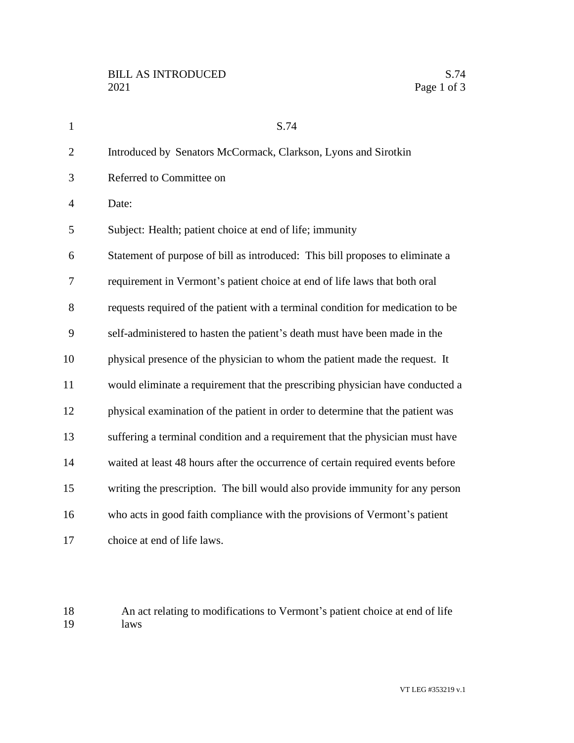| $\mathbf{1}$   | S.74                                                                            |
|----------------|---------------------------------------------------------------------------------|
| $\overline{2}$ | Introduced by Senators McCormack, Clarkson, Lyons and Sirotkin                  |
| 3              | Referred to Committee on                                                        |
| $\overline{4}$ | Date:                                                                           |
| 5              | Subject: Health; patient choice at end of life; immunity                        |
| 6              | Statement of purpose of bill as introduced: This bill proposes to eliminate a   |
| 7              | requirement in Vermont's patient choice at end of life laws that both oral      |
| 8              | requests required of the patient with a terminal condition for medication to be |
| 9              | self-administered to hasten the patient's death must have been made in the      |
| 10             | physical presence of the physician to whom the patient made the request. It     |
| 11             | would eliminate a requirement that the prescribing physician have conducted a   |
| 12             | physical examination of the patient in order to determine that the patient was  |
| 13             | suffering a terminal condition and a requirement that the physician must have   |
| 14             | waited at least 48 hours after the occurrence of certain required events before |
| 15             | writing the prescription. The bill would also provide immunity for any person   |
| 16             | who acts in good faith compliance with the provisions of Vermont's patient      |
| 17             | choice at end of life laws.                                                     |

18 An act relating to modifications to Vermont's patient choice at end of life laws laws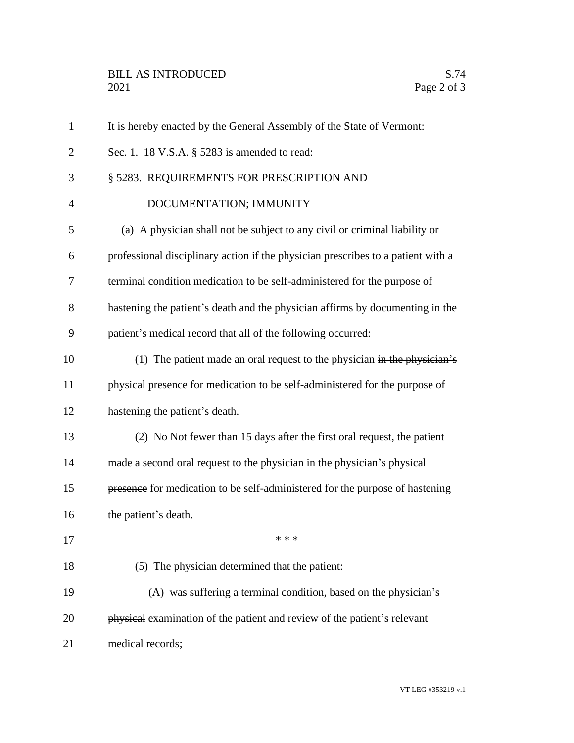| $\mathbf{1}$   | It is hereby enacted by the General Assembly of the State of Vermont:            |
|----------------|----------------------------------------------------------------------------------|
| $\overline{2}$ | Sec. 1. 18 V.S.A. § 5283 is amended to read:                                     |
| 3              | § 5283. REQUIREMENTS FOR PRESCRIPTION AND                                        |
| $\overline{4}$ | DOCUMENTATION; IMMUNITY                                                          |
| 5              | (a) A physician shall not be subject to any civil or criminal liability or       |
| 6              | professional disciplinary action if the physician prescribes to a patient with a |
| 7              | terminal condition medication to be self-administered for the purpose of         |
| 8              | hastening the patient's death and the physician affirms by documenting in the    |
| 9              | patient's medical record that all of the following occurred:                     |
| 10             | (1) The patient made an oral request to the physician in the physician's         |
| 11             | physical presence for medication to be self-administered for the purpose of      |
| 12             | hastening the patient's death.                                                   |
| 13             | (2) No $Not$ fewer than 15 days after the first oral request, the patient        |
| 14             | made a second oral request to the physician in the physician's physical          |
| 15             | presence for medication to be self-administered for the purpose of hastening     |
| 16             | the patient's death.                                                             |
| 17             | * * *                                                                            |
| 18             | (5) The physician determined that the patient:                                   |
| 19             | (A) was suffering a terminal condition, based on the physician's                 |
| 20             | physical examination of the patient and review of the patient's relevant         |
| 21             | medical records;                                                                 |